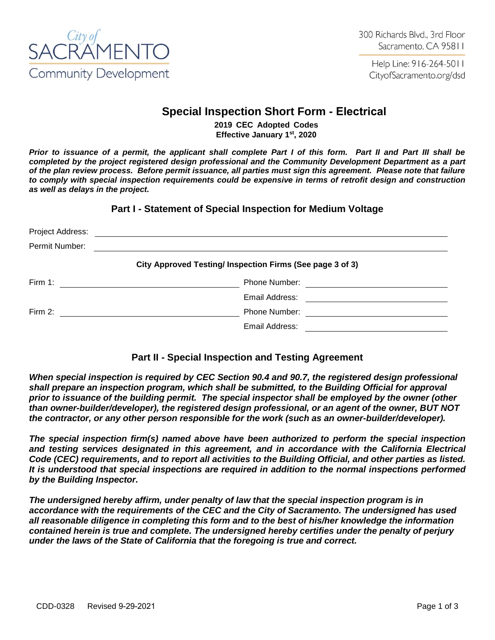

Help Line: 916-264-5011 CityofSacramento.org/dsd

# **Special Inspection Short Form - Electrical**

**2019 CEC Adopted Codes Effective January 1st , 2020**

*Prior to issuance of a permit, the applicant shall complete Part I of this form. Part II and Part III shall be completed by the project registered design professional and the Community Development Department as a part of the plan review process. Before permit issuance, all parties must sign this agreement. Please note that failure to comply with special inspection requirements could be expensive in terms of retrofit design and construction as well as delays in the project.*

**Part I - Statement of Special Inspection for Medium Voltage**

| Project Address: |                                                           |  |
|------------------|-----------------------------------------------------------|--|
| Permit Number:   |                                                           |  |
|                  | City Approved Testing/ Inspection Firms (See page 3 of 3) |  |
| Firm 1:          | Phone Number:                                             |  |
|                  | Email Address:                                            |  |
| Firm 2:          | <b>Phone Number:</b>                                      |  |
|                  | Email Address:                                            |  |

# **Part II - Special Inspection and Testing Agreement**

*When special inspection is required by CEC Section 90.4 and 90.7, the registered design professional shall prepare an inspection program, which shall be submitted, to the Building Official for approval prior to issuance of the building permit. The special inspector shall be employed by the owner (other than owner-builder/developer), the registered design professional, or an agent of the owner, BUT NOT the contractor, or any other person responsible for the work (such as an owner-builder/developer).*

*The special inspection firm(s) named above have been authorized to perform the special inspection and testing services designated in this agreement, and in accordance with the California Electrical Code (CEC) requirements, and to report all activities to the Building Official, and other parties as listed. It is understood that special inspections are required in addition to the normal inspections performed by the Building Inspector.*

*The undersigned hereby affirm, under penalty of law that the special inspection program is in accordance with the requirements of the CEC and the City of Sacramento. The undersigned has used all reasonable diligence in completing this form and to the best of his/her knowledge the information contained herein is true and complete. The undersigned hereby certifies under the penalty of perjury under the laws of the State of California that the foregoing is true and correct.*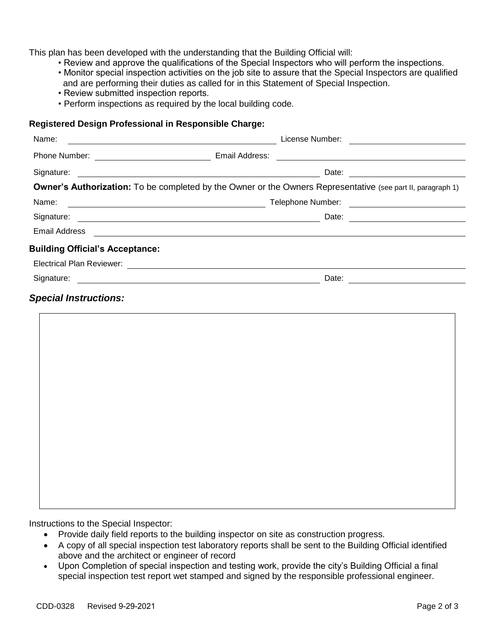This plan has been developed with the understanding that the Building Official will:

- Review and approve the qualifications of the Special Inspectors who will perform the inspections.
- Monitor special inspection activities on the job site to assure that the Special Inspectors are qualified and are performing their duties as called for in this Statement of Special Inspection.
- Review submitted inspection reports.
- *•* Perform inspections as required by the local building code*.*

#### **Registered Design Professional in Responsible Charge:**

| Name:                                  | <u> 1989 - Johann Barn, mars ann an t-Amhain an t-Amhain an t-Amhain an t-Amhain an t-Amhain an t-Amhain an t-Amh</u>                                                                                                                                                  |
|----------------------------------------|------------------------------------------------------------------------------------------------------------------------------------------------------------------------------------------------------------------------------------------------------------------------|
|                                        | <u> 1980 - Andrea Andrew Maria (h. 1980).</u>                                                                                                                                                                                                                          |
|                                        | Signature: <u>example and the set of the set of the set of the set of the set of the set of the set of the set of the set of the set of the set of the set of the set of the set of the set of the set of the set of the set of </u><br>Date: <u>_________________</u> |
|                                        | Owner's Authorization: To be completed by the Owner or the Owners Representative (see part II, paragraph 1)                                                                                                                                                            |
| Name:                                  |                                                                                                                                                                                                                                                                        |
|                                        |                                                                                                                                                                                                                                                                        |
|                                        | Email Address <b>Executive Contract Contract Contract Contract Contract Contract Contract Contract Contract Contract Contract Contract Contract Contract Contract Contract Contract Contract Contract Contract Contract Contract</b>                                   |
| <b>Building Official's Acceptance:</b> |                                                                                                                                                                                                                                                                        |
|                                        |                                                                                                                                                                                                                                                                        |
|                                        |                                                                                                                                                                                                                                                                        |
| <b>Special Instructions:</b>           |                                                                                                                                                                                                                                                                        |
|                                        |                                                                                                                                                                                                                                                                        |
|                                        |                                                                                                                                                                                                                                                                        |
|                                        |                                                                                                                                                                                                                                                                        |
|                                        |                                                                                                                                                                                                                                                                        |
|                                        |                                                                                                                                                                                                                                                                        |
|                                        |                                                                                                                                                                                                                                                                        |
|                                        |                                                                                                                                                                                                                                                                        |
|                                        |                                                                                                                                                                                                                                                                        |
|                                        |                                                                                                                                                                                                                                                                        |

Instructions to the Special Inspector:

- Provide daily field reports to the building inspector on site as construction progress.
- A copy of all special inspection test laboratory reports shall be sent to the Building Official identified above and the architect or engineer of record
- Upon Completion of special inspection and testing work, provide the city's Building Official a final special inspection test report wet stamped and signed by the responsible professional engineer.